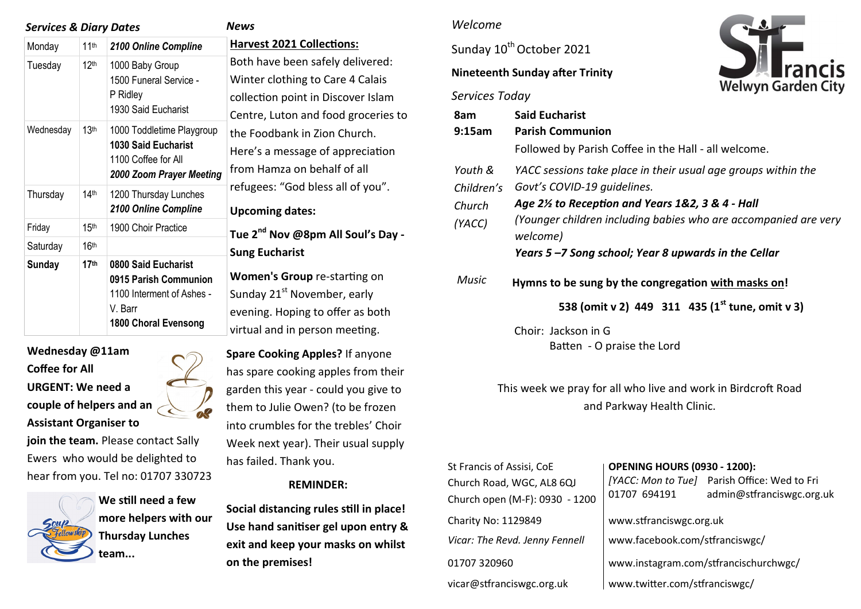| <b>Services &amp; Diary Dates</b> |                  |                                                                                                                     | News                                                                                                                                                                                                                                                                                                                                         |
|-----------------------------------|------------------|---------------------------------------------------------------------------------------------------------------------|----------------------------------------------------------------------------------------------------------------------------------------------------------------------------------------------------------------------------------------------------------------------------------------------------------------------------------------------|
| Monday                            | 11 <sup>th</sup> | 2100 Online Compline                                                                                                | <b>Harvest 2021 Coll</b>                                                                                                                                                                                                                                                                                                                     |
| Tuesday                           | 12 <sup>th</sup> | 1000 Baby Group<br>1500 Funeral Service -<br>P Ridley<br>1930 Said Eucharist                                        | Both have been sa<br>Winter clothing to<br>collection point in<br>Centre, Luton and<br>the Foodbank in Z<br>Here's a message<br>from Hamza on be<br>refugees: "God bl<br><b>Upcoming dates:</b><br>Tue 2 <sup>nd</sup> Nov @8pi<br><b>Sung Eucharist</b><br>Women's Group i<br>Sunday 21st Nover<br>evening. Hoping t<br>virtual and in pers |
| Wednesday                         | 13 <sup>th</sup> | 1000 Toddletime Playgroup<br>1030 Said Eucharist<br>1100 Coffee for All<br>2000 Zoom Prayer Meeting                 |                                                                                                                                                                                                                                                                                                                                              |
| Thursday                          | 14 <sup>th</sup> | 1200 Thursday Lunches<br>2100 Online Compline                                                                       |                                                                                                                                                                                                                                                                                                                                              |
| Friday                            | 15 <sup>th</sup> | 1900 Choir Practice                                                                                                 |                                                                                                                                                                                                                                                                                                                                              |
| Saturday                          | 16 <sup>th</sup> |                                                                                                                     |                                                                                                                                                                                                                                                                                                                                              |
| <b>Sunday</b>                     | 17 <sup>th</sup> | 0800 Said Eucharist<br>0915 Parish Communion<br>1100 Interment of Ashes -<br>V. Barr<br><b>1800 Choral Evensong</b> |                                                                                                                                                                                                                                                                                                                                              |

**Wednesday @11am Coffee for All URGENT: We need a couple of helpers and an Assistant Organiser to join the team.** Please contact Sally

Ewers who would be delighted to hear from you. Tel no: 01707 330723



**We still need a few more helpers with our Thursday Lunches team...**

**Hections:** safely delivered: to Care 4 Calais in Discover Islam d food groceries to **Zion Church.** e of appreciation behalf of all bless all of you".

**Tue 2nd Nov @8pm All Soul's Day -**

re-starting on ember, early to offer as both rson meeting.

**Spare Cooking Apples?** If anyone has spare cooking apples from their garden this year - could you give to them to Julie Owen? (to be frozen into crumbles for the trebles' Choir Week next year). Their usual supply has failed. Thank you.

#### **REMINDER:**

**Social distancing rules still in place! Use hand sanitiser gel upon entry & exit and keep your masks on whilst on the premises!** 

## *Welcome*

Sunday 10<sup>th</sup> October 2021

### **Nineteenth Sunday after Trinity**

# *Services Today*



This week we pray for all who live and work in Birdcroft Road and Parkway Health Clinic.

| St Francis of Assisi, CoE<br>Church Road, WGC, AL8 6QJ<br>Church open (M-F): 0930 - 1200 | <b>OPENING HOURS (0930 - 1200):</b><br>01707 694191       | [YACC: Mon to Tue] Parish Office: Wed to Fri<br>admin@stfranciswgc.org.uk |
|------------------------------------------------------------------------------------------|-----------------------------------------------------------|---------------------------------------------------------------------------|
| Charity No: 1129849<br>Vicar: The Revd. Jenny Fennell                                    | www.stfranciswgc.org.uk<br>www.facebook.com/stfranciswgc/ |                                                                           |
| 01707 320960                                                                             | www.instagram.com/stfrancischurchwgc/                     |                                                                           |
| vicar@stfranciswgc.org.uk                                                                | www.twitter.com/stfranciswgc/                             |                                                                           |